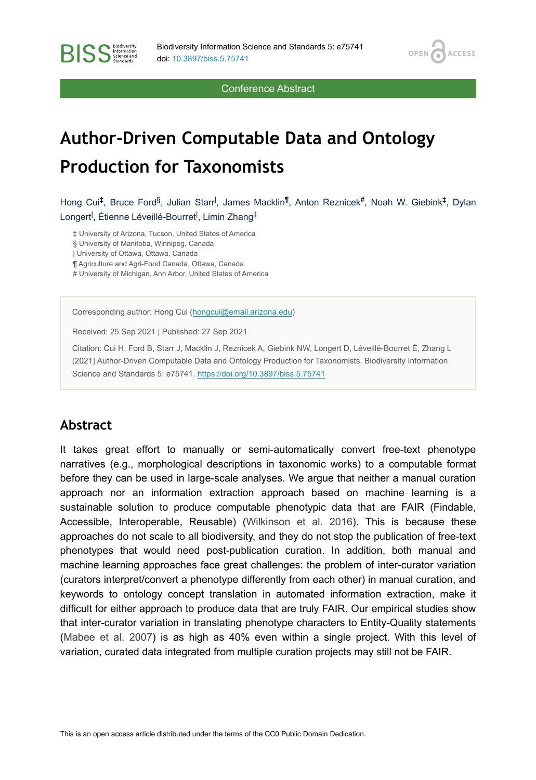OPEN<sub>6</sub>

**ACCESS** 

Conference Abstract

# **Author-Driven Computable Data and Ontology Production for Taxonomists**

Hong Cui<sup>‡</sup>, Bruce Ford<sup>§</sup>, Julian Starr<sup>I</sup>, James Macklin<sup>¶</sup>, Anton Reznicek<sup>#</sup>, Noah W. Giebink<sup>‡</sup>, Dylan Longert<sup>I</sup>, Étienne Léveillé-Bourret<sup>I</sup>, Limin Zhang<sup>‡</sup>

‡ University of Arizona, Tucson, United States of America

§ University of Manitoba, Winnipeg, Canada

| University of Ottawa, Ottawa, Canada

**BISS** Steince and

¶ Agriculture and Agri-Food Canada, Ottawa, Canada

# University of Michigan, Ann Arbor, United States of America

Corresponding author: Hong Cui ([hongcui@email.arizona.edu\)](mailto:hongcui@email.arizona.edu)

Received: 25 Sep 2021 | Published: 27 Sep 2021

Citation: Cui H, Ford B, Starr J, Macklin J, Reznicek A, Giebink NW, Longert D, Léveillé-Bourret É, Zhang L (2021) Author-Driven Computable Data and Ontology Production for Taxonomists. Biodiversity Information Science and Standards 5: e75741.<https://doi.org/10.3897/biss.5.75741>

#### **Abstract**

It takes great effort to manually or semi-automatically convert free-text phenotype narratives (e.g., morphological descriptions in taxonomic works) to a computable format before they can be used in large-scale analyses. We argue that neither a manual curation approach nor an information extraction approach based on machine learning is a sustainable solution to produce computable phenotypic data that are FAIR (Findable, Accessible, Interoperable, Reusable) ([Wilkinson et al. 2016](#page-3-0)). This is because these approaches do not scale to all biodiversity, and they do not stop the publication of free-text phenotypes that would need post-publication curation. In addition, both manual and machine learning approaches face great challenges: the problem of inter-curator variation (curators interpret/convert a phenotype differently from each other) in manual curation, and keywords to ontology concept translation in automated information extraction, make it difficult for either approach to produce data that are truly FAIR. Our empirical studies show that inter-curator variation in translating phenotype characters to Entity-Quality statements [\(Mabee et al. 2007\)](#page-3-1) is as high as 40% even within a single project. With this level of variation, curated data integrated from multiple curation projects may still not be FAIR.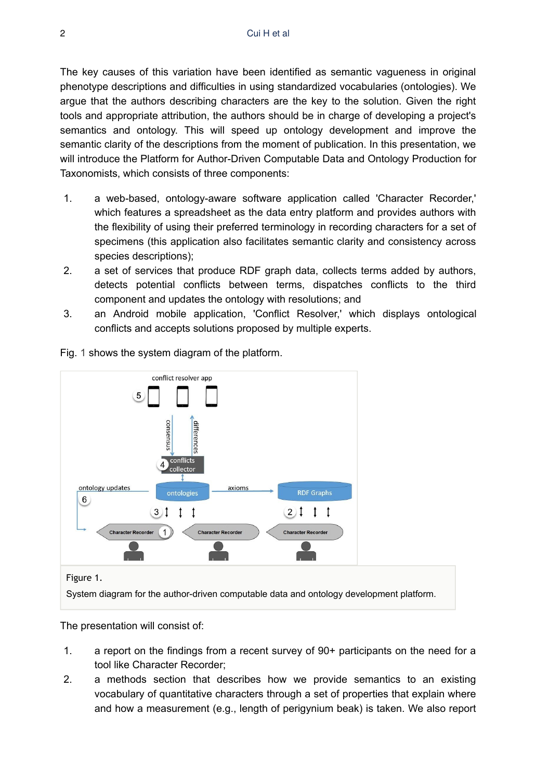The key causes of this variation have been identified as semantic vagueness in original phenotype descriptions and difficulties in using standardized vocabularies (ontologies). We argue that the authors describing characters are the key to the solution. Given the right tools and appropriate attribution, the authors should be in charge of developing a project's semantics and ontology. This will speed up ontology development and improve the semantic clarity of the descriptions from the moment of publication. In this presentation, we will introduce the Platform for Author-Driven Computable Data and Ontology Production for Taxonomists, which consists of three components:

- 1. a web-based, ontology-aware software application called 'Character Recorder,' which features a spreadsheet as the data entry platform and provides authors with the flexibility of using their preferred terminology in recording characters for a set of specimens (this application also facilitates semantic clarity and consistency across species descriptions);
- 2. a set of services that produce RDF graph data, collects terms added by authors, detects potential conflicts between terms, dispatches conflicts to the third component and updates the ontology with resolutions; and
- 3. an Android mobile application, 'Conflict Resolver,' which displays ontological conflicts and accepts solutions proposed by multiple experts.

<span id="page-1-0"></span>

Fig. [1](#page-1-0) shows the system diagram of the platform.

System diagram for the author-driven computable data and ontology development platform.

The presentation will consist of:

- 1. a report on the findings from a recent survey of 90+ participants on the need for a tool like Character Recorder;
- 2. a methods section that describes how we provide semantics to an existing vocabulary of quantitative characters through a set of properties that explain where and how a measurement (e.g., length of perigynium beak) is taken. We also report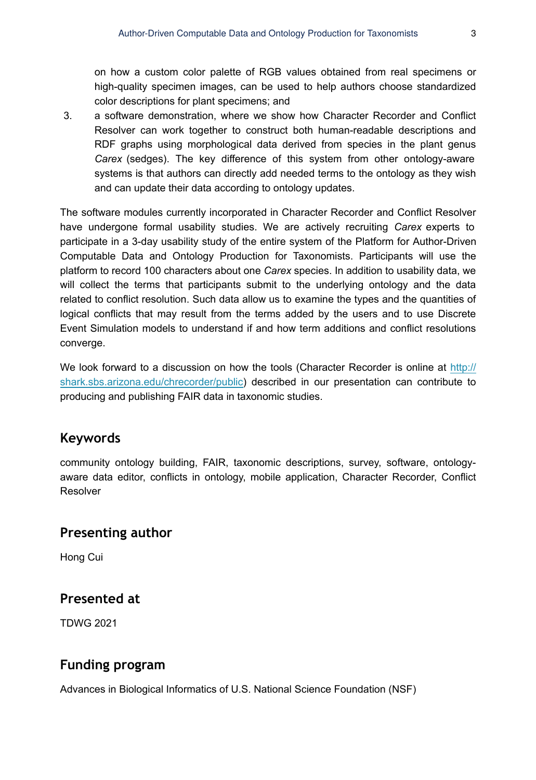on how a custom color palette of RGB values obtained from real specimens or high-quality specimen images, can be used to help authors choose standardized color descriptions for plant specimens; and

3. a software demonstration, where we show how Character Recorder and Conflict Resolver can work together to construct both human-readable descriptions and RDF graphs using morphological data derived from species in the plant genus *Carex* (sedges). The key difference of this system from other ontology-aware systems is that authors can directly add needed terms to the ontology as they wish and can update their data according to ontology updates.

The software modules currently incorporated in Character Recorder and Conflict Resolver have undergone formal usability studies. We are actively recruiting *Carex* experts to participate in a 3-day usability study of the entire system of the Platform for Author-Driven Computable Data and Ontology Production for Taxonomists. Participants will use the platform to record 100 characters about one *Carex* species. In addition to usability data, we will collect the terms that participants submit to the underlying ontology and the data related to conflict resolution. Such data allow us to examine the types and the quantities of logical conflicts that may result from the terms added by the users and to use Discrete Event Simulation models to understand if and how term additions and conflict resolutions converge.

We look forward to a discussion on how the tools (Character Recorder is online at [http://](http://shark.sbs.arizona.edu/chrecorder/public) [shark.sbs.arizona.edu/chrecorder/public](http://shark.sbs.arizona.edu/chrecorder/public)) described in our presentation can contribute to producing and publishing FAIR data in taxonomic studies.

## **Keywords**

community ontology building, FAIR, taxonomic descriptions, survey, software, ontologyaware data editor, conflicts in ontology, mobile application, Character Recorder, Conflict Resolver

#### **Presenting author**

Hong Cui

## **Presented at**

TDWG 2021

# **Funding program**

Advances in Biological Informatics of U.S. National Science Foundation (NSF)